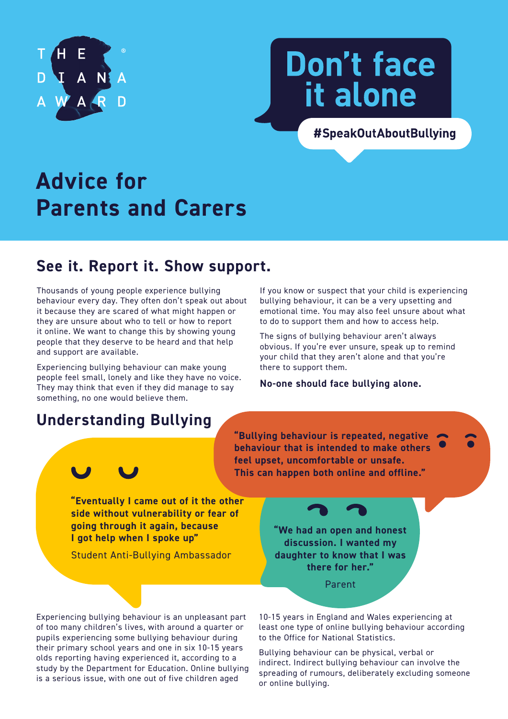

# **Don't face** it alone

#SpeakOutAboutBullying

## **Advice for Parents and Carers**

### **See it. Report it. Show support.**

Thousands of young people experience bullying behaviour every day. They often don't speak out about it because they are scared of what might happen or they are unsure about who to tell or how to report it online. We want to change this by showing young people that they deserve to be heard and that help and support are available.

Experiencing bullying behaviour can make young people feel small, lonely and like they have no voice. They may think that even if they did manage to say something, no one would believe them.

#### If you know or suspect that your child is experiencing bullying behaviour, it can be a very upsetting and emotional time. You may also feel unsure about what to do to support them and how to access help.

The signs of bullying behaviour aren't always obvious. If you're ever unsure, speak up to remind your child that they aren't alone and that you're there to support them.

#### **No-one should face bullying alone.**

### **Understanding Bullying**

**"Bullying behaviour is repeated, negative behaviour that is intended to make others feel upset, uncomfortable or unsafe. This can happen both online and offline."**

**"Eventually I came out of it the other side without vulnerability or fear of going through it again, because I got help when I spoke up"** 

Student Anti-Bullying Ambassador

**"We had an open and honest discussion. I wanted my daughter to know that I was there for her."** 

Parent

Experiencing bullying behaviour is an unpleasant part of too many children's lives, with around a quarter or pupils experiencing some bullying behaviour during their primary school years and one in six 10-15 years olds reporting having experienced it, according to a study by the Department for Education. Online bullying is a serious issue, with one out of five children aged

10-15 years in England and Wales experiencing at least one type of online bullying behaviour according to the Office for National Statistics.

Bullying behaviour can be physical, verbal or indirect. Indirect bullying behaviour can involve the spreading of rumours, deliberately excluding someone or online bullying.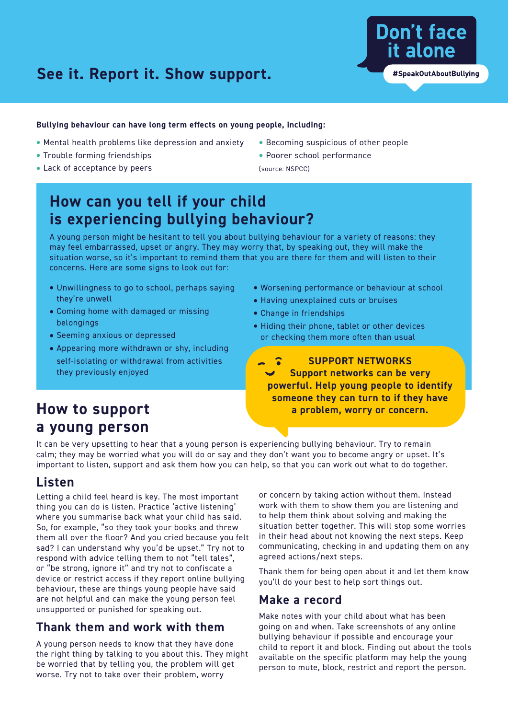### **See it. Report it. Show support.**

#### **Bullying behaviour can have long term effects on young people, including:**

- **•** Mental health problems like depression and anxiety
- **•** Trouble forming friendships
- **•** Lack of acceptance by peers
- **•** Becoming suspicious of other people
- **•** Poorer school performance

(source: NSPCC)

### **How can you tell if your child is experiencing bullying behaviour?**

A young person might be hesitant to tell you about bullying behaviour for a variety of reasons: they may feel embarrassed, upset or angry. They may worry that, by speaking out, they will make the situation worse, so it's important to remind them that you are there for them and will listen to their concerns. Here are some signs to look out for:

- **•** Unwillingness to go to school, perhaps saying they're unwell
- **•** Coming home with damaged or missing belongings
- **•** Seeming anxious or depressed
- **•** Appearing more withdrawn or shy, including self-isolating or withdrawal from activities they previously enjoyed
- **•** Worsening performance or behaviour at school
- **•** Having unexplained cuts or bruises
- **•** Change in friendships
- **•** Hiding their phone, tablet or other devices or checking them more often than usual

**SUPPORT NETWORKS Support networks can be very powerful. Help young people to identify someone they can turn to if they have a problem, worry or concern.**

### **How to support a young person**

It can be very upsetting to hear that a young person is experiencing bullying behaviour. Try to remain calm; they may be worried what you will do or say and they don't want you to become angry or upset. It's important to listen, support and ask them how you can help, so that you can work out what to do together.

### **Listen**

Letting a child feel heard is key. The most important thing you can do is listen. Practice 'active listening' where you summarise back what your child has said. So, for example, "so they took your books and threw them all over the floor? And you cried because you felt sad? I can understand why you'd be upset." Try not to respond with advice telling them to not "tell tales", or "be strong, ignore it" and try not to confiscate a device or restrict access if they report online bullying behaviour, these are things young people have said are not helpful and can make the young person feel unsupported or punished for speaking out.

#### **Thank them and work with them**

A young person needs to know that they have done the right thing by talking to you about this. They might be worried that by telling you, the problem will get worse. Try not to take over their problem, worry

or concern by taking action without them. Instead work with them to show them you are listening and to help them think about solving and making the situation better together. This will stop some worries in their head about not knowing the next steps. Keep communicating, checking in and updating them on any agreed actions/next steps.

Thank them for being open about it and let them know you'll do your best to help sort things out.

#### **Make a record**

Make notes with your child about what has been going on and when. Take screenshots of any online bullying behaviour if possible and encourage your child to report it and block. Finding out about the tools available on the specific platform may help the young person to mute, block, restrict and report the person.

**Don't face** 

it alone